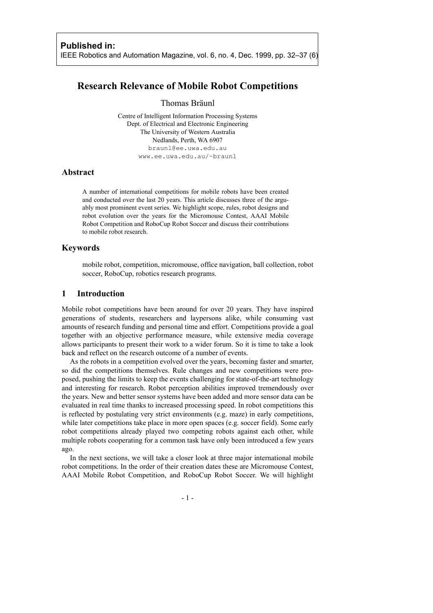# **Research Relevance of Mobile Robot Competitions**

#### Thomas Bräunl

Centre of Intelligent Information Processing Systems Dept. of Electrical and Electronic Engineering The University of Western Australia Nedlands, Perth, WA 6907 braunl@ee.uwa.edu.au www.ee.uwa.edu.au/~braunl

## **Abstract**

A number of international competitions for mobile robots have been created and conducted over the last 20 years. This article discusses three of the arguably most prominent event series. We highlight scope, rules, robot designs and robot evolution over the years for the Micromouse Contest, AAAI Mobile Robot Competition and RoboCup Robot Soccer and discuss their contributions to mobile robot research.

#### **Keywords**

mobile robot, competition, micromouse, office navigation, ball collection, robot soccer, RoboCup, robotics research programs.

#### **1 Introduction**

Mobile robot competitions have been around for over 20 years. They have inspired generations of students, researchers and laypersons alike, while consuming vast amounts of research funding and personal time and effort. Competitions provide a goal together with an objective performance measure, while extensive media coverage allows participants to present their work to a wider forum. So it is time to take a look back and reflect on the research outcome of a number of events.

As the robots in a competition evolved over the years, becoming faster and smarter, so did the competitions themselves. Rule changes and new competitions were proposed, pushing the limits to keep the events challenging for state-of-the-art technology and interesting for research. Robot perception abilities improved tremendously over the years. New and better sensor systems have been added and more sensor data can be evaluated in real time thanks to increased processing speed. In robot competitions this is reflected by postulating very strict environments (e.g. maze) in early competitions, while later competitions take place in more open spaces (e.g. soccer field). Some early robot competitions already played two competing robots against each other, while multiple robots cooperating for a common task have only been introduced a few years ago.

In the next sections, we will take a closer look at three major international mobile robot competitions. In the order of their creation dates these are Micromouse Contest, AAAI Mobile Robot Competition, and RoboCup Robot Soccer. We will highlight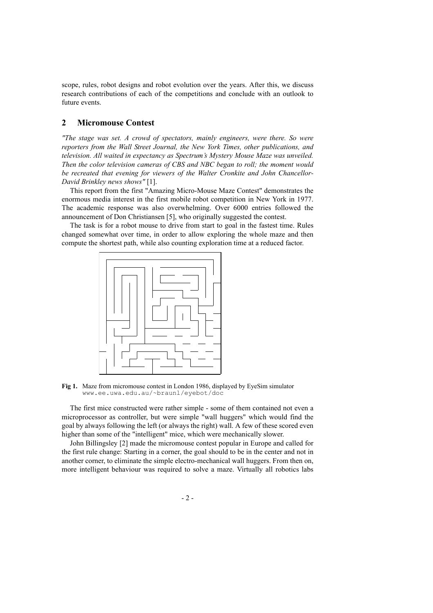scope, rules, robot designs and robot evolution over the years. After this, we discuss research contributions of each of the competitions and conclude with an outlook to future events.

### **2 Micromouse Contest**

*"The stage was set. A crowd of spectators, mainly engineers, were there. So were reporters from the Wall Street Journal, the New York Times, other publications, and television. All waited in expectancy as Spectrum's Mystery Mouse Maze was unveiled. Then the color television cameras of CBS and NBC began to roll; the moment would be recreated that evening for viewers of the Walter Cronkite and John Chancellor-David Brinkley news shows"* [1].

This report from the first "Amazing Micro-Mouse Maze Contest" demonstrates the enormous media interest in the first mobile robot competition in New York in 1977. The academic response was also overwhelming. Over 6000 entries followed the announcement of Don Christiansen [5], who originally suggested the contest.

The task is for a robot mouse to drive from start to goal in the fastest time. Rules changed somewhat over time, in order to allow exploring the whole maze and then compute the shortest path, while also counting exploration time at a reduced factor.



**Fig 1.** Maze from micromouse contest in London 1986, displayed by EyeSim simulator www.ee.uwa.edu.au/~braunl/eyebot/doc

The first mice constructed were rather simple - some of them contained not even a microprocessor as controller, but were simple "wall huggers" which would find the goal by always following the left (or always the right) wall. A few of these scored even higher than some of the "intelligent" mice, which were mechanically slower.

John Billingsley [2] made the micromouse contest popular in Europe and called for the first rule change: Starting in a corner, the goal should to be in the center and not in another corner, to eliminate the simple electro-mechanical wall huggers. From then on, more intelligent behaviour was required to solve a maze. Virtually all robotics labs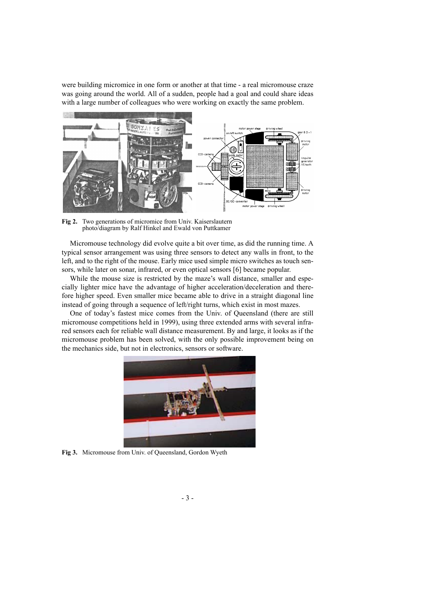were building micromice in one form or another at that time - a real micromouse craze was going around the world. All of a sudden, people had a goal and could share ideas with a large number of colleagues who were working on exactly the same problem.



**Fig 2.** Two generations of micromice from Univ. Kaiserslautern photo/diagram by Ralf Hinkel and Ewald von Puttkamer

Micromouse technology did evolve quite a bit over time, as did the running time. A typical sensor arrangement was using three sensors to detect any walls in front, to the left, and to the right of the mouse. Early mice used simple micro switches as touch sensors, while later on sonar, infrared, or even optical sensors [6] became popular.

While the mouse size is restricted by the maze's wall distance, smaller and especially lighter mice have the advantage of higher acceleration/deceleration and therefore higher speed. Even smaller mice became able to drive in a straight diagonal line instead of going through a sequence of left/right turns, which exist in most mazes.

One of today's fastest mice comes from the Univ. of Queensland (there are still micromouse competitions held in 1999), using three extended arms with several infrared sensors each for reliable wall distance measurement. By and large, it looks as if the micromouse problem has been solved, with the only possible improvement being on the mechanics side, but not in electronics, sensors or software.



**Fig 3.** Micromouse from Univ. of Queensland, Gordon Wyeth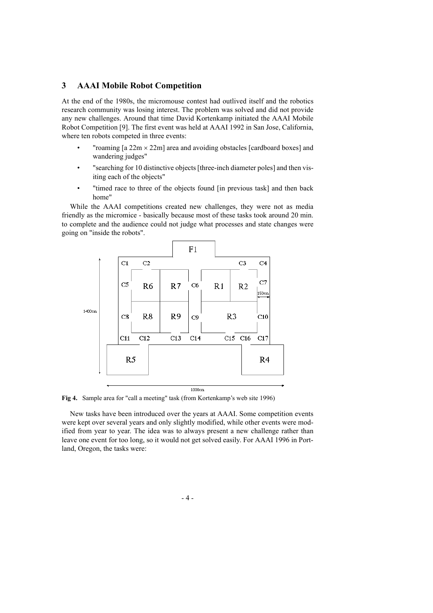### **3 AAAI Mobile Robot Competition**

At the end of the 1980s, the micromouse contest had outlived itself and the robotics research community was losing interest. The problem was solved and did not provide any new challenges. Around that time David Kortenkamp initiated the AAAI Mobile Robot Competition [9]. The first event was held at AAAI 1992 in San Jose, California, where ten robots competed in three events:

- "roaming  $\lceil a 22m \times 22m \rceil$  area and avoiding obstacles  $\lceil$  cardboard boxes $\rceil$  and wandering judges"
- "searching for 10 distinctive objects [three-inch diameter poles] and then visiting each of the objects"
- "timed race to three of the objects found [in previous task] and then back home"

While the AAAI competitions created new challenges, they were not as media friendly as the micromice - basically because most of these tasks took around 20 min. to complete and the audience could not judge what processes and state changes were going on "inside the robots".



**Fig 4.** Sample area for "call a meeting" task (from Kortenkamp's web site 1996)

New tasks have been introduced over the years at AAAI. Some competition events were kept over several years and only slightly modified, while other events were modified from year to year. The idea was to always present a new challenge rather than leave one event for too long, so it would not get solved easily. For AAAI 1996 in Portland, Oregon, the tasks were: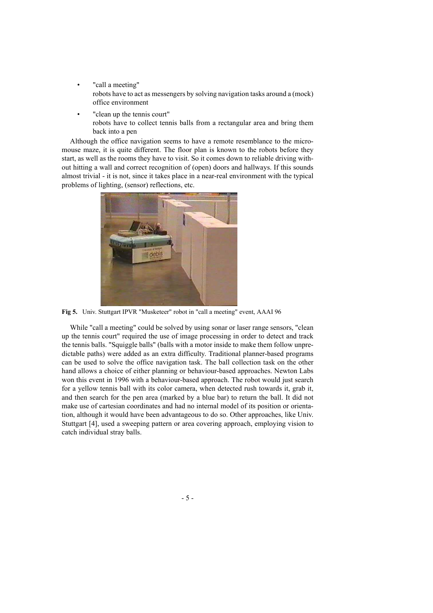- "call a meeting" robots have to act as messengers by solving navigation tasks around a (mock) office environment
- "clean up the tennis court" robots have to collect tennis balls from a rectangular area and bring them back into a pen

Although the office navigation seems to have a remote resemblance to the micromouse maze, it is quite different. The floor plan is known to the robots before they start, as well as the rooms they have to visit. So it comes down to reliable driving without hitting a wall and correct recognition of (open) doors and hallways. If this sounds almost trivial - it is not, since it takes place in a near-real environment with the typical problems of lighting, (sensor) reflections, etc.



**Fig 5.** Univ. Stuttgart IPVR "Musketeer" robot in "call a meeting" event, AAAI 96

While "call a meeting" could be solved by using sonar or laser range sensors, "clean up the tennis court" required the use of image processing in order to detect and track the tennis balls. "Squiggle balls" (balls with a motor inside to make them follow unpredictable paths) were added as an extra difficulty. Traditional planner-based programs can be used to solve the office navigation task. The ball collection task on the other hand allows a choice of either planning or behaviour-based approaches. Newton Labs won this event in 1996 with a behaviour-based approach. The robot would just search for a yellow tennis ball with its color camera, when detected rush towards it, grab it, and then search for the pen area (marked by a blue bar) to return the ball. It did not make use of cartesian coordinates and had no internal model of its position or orientation, although it would have been advantageous to do so. Other approaches, like Univ. Stuttgart [4], used a sweeping pattern or area covering approach, employing vision to catch individual stray balls.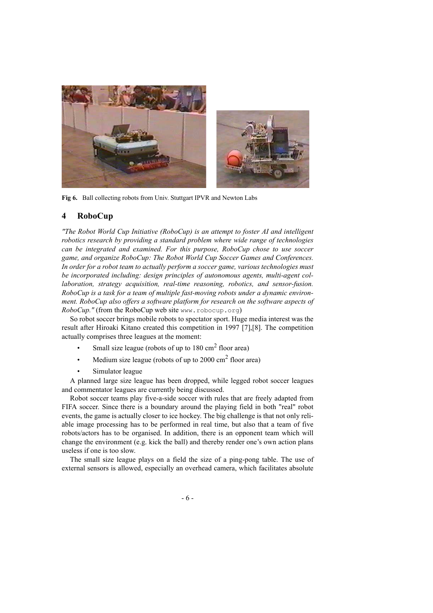

**Fig 6.** Ball collecting robots from Univ. Stuttgart IPVR and Newton Labs

### **4 RoboCup**

*"The Robot World Cup Initiative (RoboCup) is an attempt to foster AI and intelligent robotics research by providing a standard problem where wide range of technologies can be integrated and examined. For this purpose, RoboCup chose to use soccer game, and organize RoboCup: The Robot World Cup Soccer Games and Conferences. In order for a robot team to actually perform a soccer game, various technologies must be incorporated including: design principles of autonomous agents, multi-agent collaboration, strategy acquisition, real-time reasoning, robotics, and sensor-fusion. RoboCup is a task for a team of multiple fast-moving robots under a dynamic environment. RoboCup also offers a software platform for research on the software aspects of RoboCup.*" (from the RoboCup web site www.robocup.org)

So robot soccer brings mobile robots to spectator sport. Huge media interest was the result after Hiroaki Kitano created this competition in 1997 [7],[8]. The competition actually comprises three leagues at the moment:

- Small size league (robots of up to  $180 \text{ cm}^2$  floor area)
- Medium size league (robots of up to  $2000 \text{ cm}^2$  floor area)
- Simulator league

A planned large size league has been dropped, while legged robot soccer leagues and commentator leagues are currently being discussed.

Robot soccer teams play five-a-side soccer with rules that are freely adapted from FIFA soccer. Since there is a boundary around the playing field in both "real" robot events, the game is actually closer to ice hockey. The big challenge is that not only reliable image processing has to be performed in real time, but also that a team of five robots/actors has to be organised. In addition, there is an opponent team which will change the environment (e.g. kick the ball) and thereby render one's own action plans useless if one is too slow.

The small size league plays on a field the size of a ping-pong table. The use of external sensors is allowed, especially an overhead camera, which facilitates absolute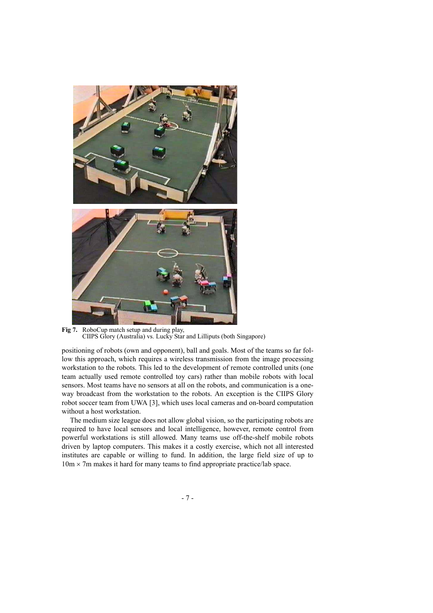

**Fig 7.** RoboCup match setup and during play, CIIPS Glory (Australia) vs. Lucky Star and Lilliputs (both Singapore)

positioning of robots (own and opponent), ball and goals. Most of the teams so far follow this approach, which requires a wireless transmission from the image processing workstation to the robots. This led to the development of remote controlled units (one team actually used remote controlled toy cars) rather than mobile robots with local sensors. Most teams have no sensors at all on the robots, and communication is a oneway broadcast from the workstation to the robots. An exception is the CIIPS Glory robot soccer team from UWA [3], which uses local cameras and on-board computation without a host workstation.

The medium size league does not allow global vision, so the participating robots are required to have local sensors and local intelligence, however, remote control from powerful workstations is still allowed. Many teams use off-the-shelf mobile robots driven by laptop computers. This makes it a costly exercise, which not all interested institutes are capable or willing to fund. In addition, the large field size of up to  $10m \times 7m$  makes it hard for many teams to find appropriate practice/lab space.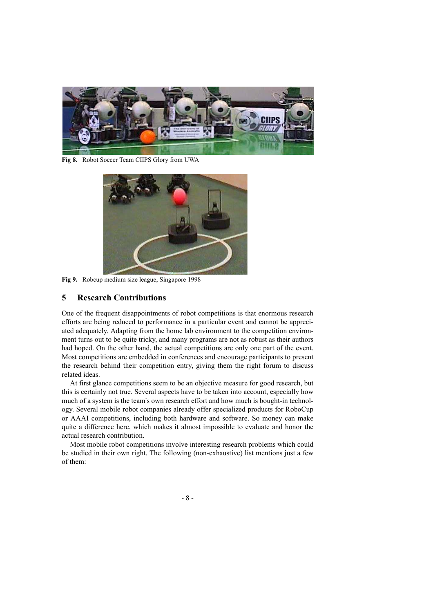

**Fig 8.** Robot Soccer Team CIIPS Glory from UWA



**Fig 9.** Robcup medium size league, Singapore 1998

### **5 Research Contributions**

One of the frequent disappointments of robot competitions is that enormous research efforts are being reduced to performance in a particular event and cannot be appreciated adequately. Adapting from the home lab environment to the competition environment turns out to be quite tricky, and many programs are not as robust as their authors had hoped. On the other hand, the actual competitions are only one part of the event. Most competitions are embedded in conferences and encourage participants to present the research behind their competition entry, giving them the right forum to discuss related ideas.

At first glance competitions seem to be an objective measure for good research, but this is certainly not true. Several aspects have to be taken into account, especially how much of a system is the team's own research effort and how much is bought-in technology. Several mobile robot companies already offer specialized products for RoboCup or AAAI competitions, including both hardware and software. So money can make quite a difference here, which makes it almost impossible to evaluate and honor the actual research contribution.

Most mobile robot competitions involve interesting research problems which could be studied in their own right. The following (non-exhaustive) list mentions just a few of them: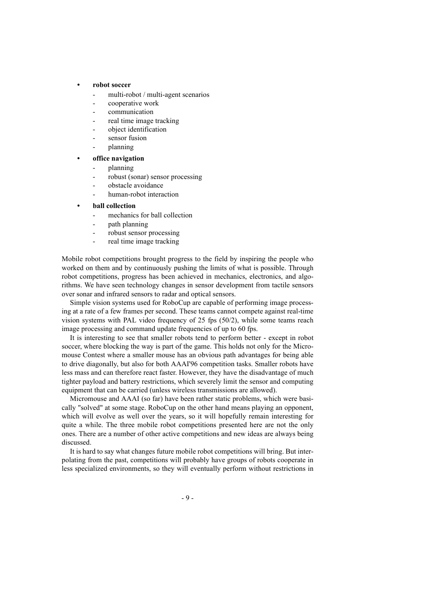#### **• robot soccer**

- multi-robot / multi-agent scenarios
- cooperative work
- communication
- real time image tracking
- object identification
- sensor fusion
- planning

#### **• office navigation**

- planning
- robust (sonar) sensor processing
- obstacle avoidance
- human-robot interaction
- **ball collection**
	- mechanics for ball collection
	- path planning
	- robust sensor processing
	- real time image tracking

Mobile robot competitions brought progress to the field by inspiring the people who worked on them and by continuously pushing the limits of what is possible. Through robot competitions, progress has been achieved in mechanics, electronics, and algorithms. We have seen technology changes in sensor development from tactile sensors over sonar and infrared sensors to radar and optical sensors.

Simple vision systems used for RoboCup are capable of performing image processing at a rate of a few frames per second. These teams cannot compete against real-time vision systems with PAL video frequency of 25 fps (50/2), while some teams reach image processing and command update frequencies of up to 60 fps.

It is interesting to see that smaller robots tend to perform better - except in robot soccer, where blocking the way is part of the game. This holds not only for the Micromouse Contest where a smaller mouse has an obvious path advantages for being able to drive diagonally, but also for both AAAI'96 competition tasks. Smaller robots have less mass and can therefore react faster. However, they have the disadvantage of much tighter payload and battery restrictions, which severely limit the sensor and computing equipment that can be carried (unless wireless transmissions are allowed).

Micromouse and AAAI (so far) have been rather static problems, which were basically "solved" at some stage. RoboCup on the other hand means playing an opponent, which will evolve as well over the years, so it will hopefully remain interesting for quite a while. The three mobile robot competitions presented here are not the only ones. There are a number of other active competitions and new ideas are always being discussed.

It is hard to say what changes future mobile robot competitions will bring. But interpolating from the past, competitions will probably have groups of robots cooperate in less specialized environments, so they will eventually perform without restrictions in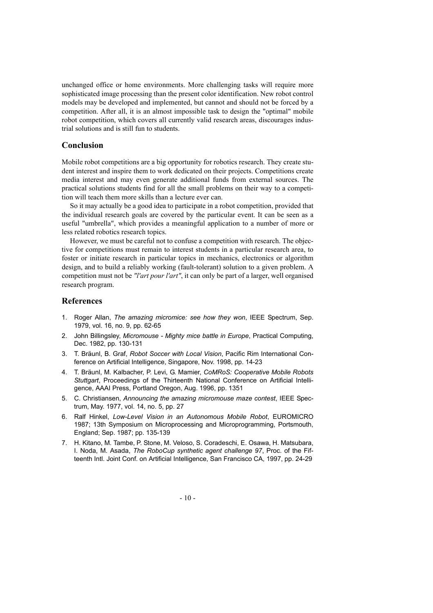unchanged office or home environments. More challenging tasks will require more sophisticated image processing than the present color identification. New robot control models may be developed and implemented, but cannot and should not be forced by a competition. After all, it is an almost impossible task to design the "optimal" mobile robot competition, which covers all currently valid research areas, discourages industrial solutions and is still fun to students.

#### **Conclusion**

Mobile robot competitions are a big opportunity for robotics research. They create student interest and inspire them to work dedicated on their projects. Competitions create media interest and may even generate additional funds from external sources. The practical solutions students find for all the small problems on their way to a competition will teach them more skills than a lecture ever can.

So it may actually be a good idea to participate in a robot competition, provided that the individual research goals are covered by the particular event. It can be seen as a useful "umbrella", which provides a meaningful application to a number of more or less related robotics research topics.

However, we must be careful not to confuse a competition with research. The objective for competitions must remain to interest students in a particular research area, to foster or initiate research in particular topics in mechanics, electronics or algorithm design, and to build a reliably working (fault-tolerant) solution to a given problem. A competition must not be *"l'art pour l'art"*, it can only be part of a larger, well organised research program.

### **References**

- 1. Roger Allan, *The amazing micromice: see how they won*, IEEE Spectrum, Sep. 1979, vol. 16, no. 9, pp. 62-65
- 2. John Billingsley, *Micromouse Mighty mice battle in Europe*, Practical Computing, Dec. 1982, pp. 130-131
- 3. T. Bräunl, B. Graf, *Robot Soccer with Local Vision*, Pacific Rim International Conference on Artificial Intelligence, Singapore, Nov. 1998, pp. 14-23
- 4. T. Bräunl, M. Kalbacher, P. Levi, G. Mamier, *CoMRoS: Cooperative Mobile Robots Stuttgart*, Proceedings of the Thirteenth National Conference on Artificial Intelligence, AAAI Press, Portland Oregon, Aug. 1996, pp. 1351
- 5. C. Christiansen, *Announcing the amazing micromouse maze contest*, IEEE Spectrum, May. 1977, vol. 14, no. 5, pp. 27
- 6. Ralf Hinkel, *Low-Level Vision in an Autonomous Mobile Robot*, EUROMICRO 1987; 13th Symposium on Microprocessing and Microprogramming, Portsmouth, England; Sep. 1987; pp. 135-139
- 7. H. Kitano, M. Tambe, P. Stone, M. Veloso, S. Coradeschi, E. Osawa, H. Matsubara, I. Noda, M. Asada, *The RoboCup synthetic agent challenge 97*, Proc. of the Fifteenth Intl. Joint Conf. on Artificial Intelligence, San Francisco CA, 1997, pp. 24-29